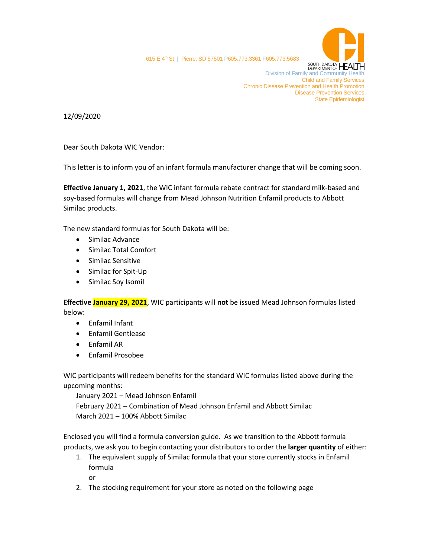

615 E 4<sup>th</sup> St | Pierre, SD 57501 P605.773.3361 F605.773.5683

**DUS. A FULLOW SOUTH DAKOTA HEALTH**<br>Division of Family and Community Health Child and Family Services Chronic Disease Prevention and Health Promotion Disease Prevention Services State Epidemiologist

12/09/2020

Dear South Dakota WIC Vendor:

This letter is to inform you of an infant formula manufacturer change that will be coming soon.

**Effective January 1, 2021**, the WIC infant formula rebate contract for standard milk-based and soy-based formulas will change from Mead Johnson Nutrition Enfamil products to Abbott Similac products.

The new standard formulas for South Dakota will be:

- Similac Advance
- Similac Total Comfort
- Similac Sensitive
- Similac for Spit-Up
- Similac Soy Isomil

**Effective January 29, 2021**, WIC participants will **not** be issued Mead Johnson formulas listed below:

- Enfamil Infant
- Enfamil Gentlease
- Enfamil AR
- Enfamil Prosobee

WIC participants will redeem benefits for the standard WIC formulas listed above during the upcoming months:

January 2021 – Mead Johnson Enfamil February 2021 – Combination of Mead Johnson Enfamil and Abbott Similac March 2021 – 100% Abbott Similac

Enclosed you will find a formula conversion guide. As we transition to the Abbott formula products, we ask you to begin contacting your distributors to order the **larger quantity** of either:

1. The equivalent supply of Similac formula that your store currently stocks in Enfamil formula

or

2. The stocking requirement for your store as noted on the following page